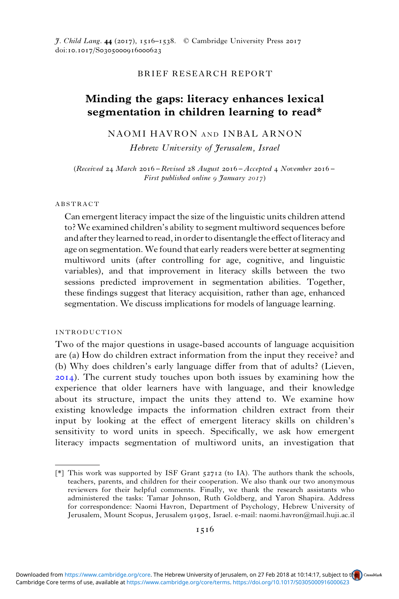$\tilde{\tau}$ . Child Lang. 44 (2017), 1516–1538. © Cambridge University Press 2017 doi:10.1017/S0305000916000623

## BRIEF RESEARCH REPORT

## Minding the gaps: literacy enhances lexical segmentation in children learning to read\*

## NAOMI HAVRON AND INBAL ARNON

Hebrew University of Jerusalem, Israel

(Received 24 March  $2016 -$ Revised 28 August  $2016 -$ Accepted 4 November  $2016 -$ First published online  $9$  January  $2017$ )

#### ABSTRACT

Can emergent literacy impact the size of the linguistic units children attend to? We examined children's ability to segment multiword sequences before and after they learned to read, in order to disentangle the effect of literacy and age on segmentation.We found that early readers were better at segmenting multiword units (after controlling for age, cognitive, and linguistic variables), and that improvement in literacy skills between the two sessions predicted improvement in segmentation abilities. Together, these findings suggest that literacy acquisition, rather than age, enhanced segmentation. We discuss implications for models of language learning.

### INTRODUCTION

Two of the major questions in usage-based accounts of language acquisition are (a) How do children extract information from the input they receive? and (b) Why does children's early language differ from that of adults? (Lieven, ). The current study touches upon both issues by examining how the experience that older learners have with language, and their knowledge about its structure, impact the units they attend to. We examine how existing knowledge impacts the information children extract from their input by looking at the effect of emergent literacy skills on children's sensitivity to word units in speech. Specifically, we ask how emergent literacy impacts segmentation of multiword units, an investigation that

<sup>[</sup> $*$ ] This work was supported by ISF Grant  $52712$  (to IA). The authors thank the schools, teachers, parents, and children for their cooperation. We also thank our two anonymous reviewers for their helpful comments. Finally, we thank the research assistants who administered the tasks: Tamar Johnson, Ruth Goldberg, and Yaron Shapira. Address for correspondence: Naomi Havron, Department of Psychology, Hebrew University of Jerusalem, Mount Scopus, Jerusalem 91905, Israel. e-mail: naomi.havron@mail.huji.ac.il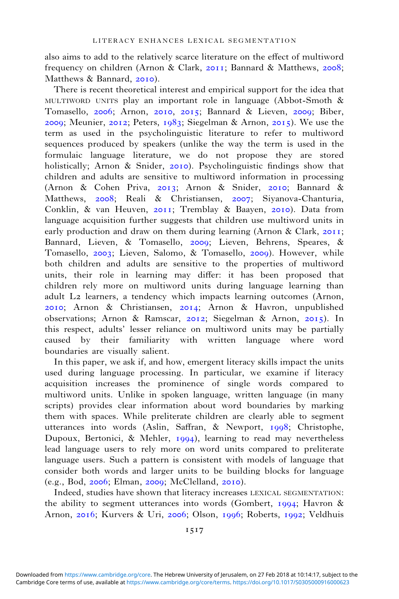also aims to add to the relatively scarce literature on the effect of multiword frequency on children (Arnon & Clark, 2011; Bannard & Matthews, 2008; Matthews & Bannard, 2010).

There is recent theoretical interest and empirical support for the idea that MULTIWORD UNITS play an important role in language (Abbot-Smoth & Tomasello, 2006; Arnon, 2010, 2015; Bannard & Lieven, 2009; Biber, 2009; Meunier, 2012; Peters,  $1983$ ; Siegelman & Arnon, 2015). We use the term as used in the psycholinguistic literature to refer to multiword sequences produced by speakers (unlike the way the term is used in the formulaic language literature, we do not propose they are stored holistically; Arnon & Snider,  $2010$ ). Psycholinguistic findings show that children and adults are sensitive to multiword information in processing (Arnon & Cohen Priva, 2013; Arnon & Snider, 2010; Bannard & Matthews, 2008; Reali & Christiansen, 2007; Siyanova-Chanturia, Conklin, & van Heuven,  $2011$ ; Tremblay & Baayen,  $2010$ ). Data from language acquisition further suggests that children use multiword units in early production and draw on them during learning (Arnon & Clark,  $2011$ ; Bannard, Lieven, & Tomasello, 2009; Lieven, Behrens, Speares, & Tomasello,  $2003$ ; Lieven, Salomo, & Tomasello,  $2009$ ). However, while both children and adults are sensitive to the properties of multiword units, their role in learning may differ: it has been proposed that children rely more on multiword units during language learning than adult L<sub>2</sub> learners, a tendency which impacts learning outcomes (Arnon, 2010; Arnon & Christiansen, 2014; Arnon & Havron, unpublished observations; Arnon & Ramscar, 2012; Siegelman & Arnon, 2015). In this respect, adults' lesser reliance on multiword units may be partially caused by their familiarity with written language where word boundaries are visually salient.

In this paper, we ask if, and how, emergent literacy skills impact the units used during language processing. In particular, we examine if literacy acquisition increases the prominence of single words compared to multiword units. Unlike in spoken language, written language (in many scripts) provides clear information about word boundaries by marking them with spaces. While preliterate children are clearly able to segment utterances into words (Aslin, Saffran, & Newport, 1998; Christophe, Dupoux, Bertonici, & Mehler, 1994), learning to read may nevertheless lead language users to rely more on word units compared to preliterate language users. Such a pattern is consistent with models of language that consider both words and larger units to be building blocks for language  $(e.g., Bod, 2006; Elman, 2009; McClelland, 2010).$ 

Indeed, studies have shown that literacy increases LEXICAL SEGMENTATION: the ability to segment utterances into words (Gombert, 1994; Havron  $\&$ Arnon, 2016; Kurvers & Uri, 2006; Olson, 1996; Roberts, 1992; Veldhuis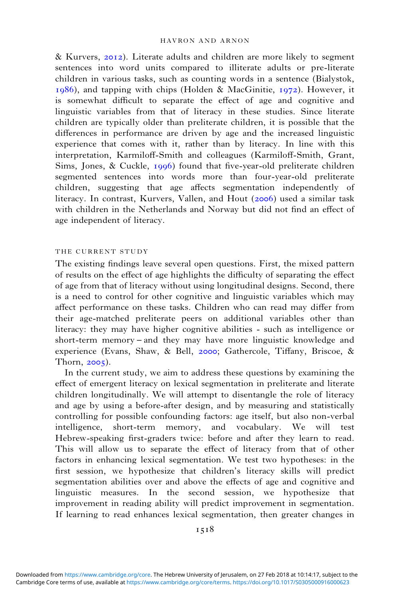$& Kurvers, 2012$ ). Literate adults and children are more likely to segment sentences into word units compared to illiterate adults or pre-literate children in various tasks, such as counting words in a sentence (Bialystok,  $1986$ ), and tapping with chips (Holden & MacGinitie,  $1972$ ). However, it is somewhat difficult to separate the effect of age and cognitive and linguistic variables from that of literacy in these studies. Since literate children are typically older than preliterate children, it is possible that the differences in performance are driven by age and the increased linguistic experience that comes with it, rather than by literacy. In line with this interpretation, Karmiloff-Smith and colleagues (Karmiloff-Smith, Grant, Sims, Jones, & Cuckle,  $1996$ ) found that five-year-old preliterate children segmented sentences into words more than four-year-old preliterate children, suggesting that age affects segmentation independently of literacy. In contrast, Kurvers, Vallen, and Hout (2006) used a similar task with children in the Netherlands and Norway but did not find an effect of age independent of literacy.

#### THE CURRENT STUDY

The existing findings leave several open questions. First, the mixed pattern of results on the effect of age highlights the difficulty of separating the effect of age from that of literacy without using longitudinal designs. Second, there is a need to control for other cognitive and linguistic variables which may affect performance on these tasks. Children who can read may differ from their age-matched preliterate peers on additional variables other than literacy: they may have higher cognitive abilities - such as intelligence or short-term memory – and they may have more linguistic knowledge and experience (Evans, Shaw, & Bell, 2000; Gathercole, Tiffany, Briscoe, & Thorn,  $2005$ ).

In the current study, we aim to address these questions by examining the effect of emergent literacy on lexical segmentation in preliterate and literate children longitudinally. We will attempt to disentangle the role of literacy and age by using a before-after design, and by measuring and statistically controlling for possible confounding factors: age itself, but also non-verbal intelligence, short-term memory, and vocabulary. We will test Hebrew-speaking first-graders twice: before and after they learn to read. This will allow us to separate the effect of literacy from that of other factors in enhancing lexical segmentation. We test two hypotheses: in the first session, we hypothesize that children's literacy skills will predict segmentation abilities over and above the effects of age and cognitive and linguistic measures. In the second session, we hypothesize that improvement in reading ability will predict improvement in segmentation. If learning to read enhances lexical segmentation, then greater changes in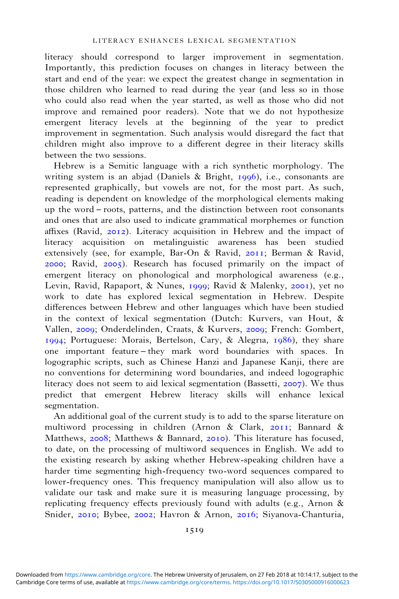literacy should correspond to larger improvement in segmentation. Importantly, this prediction focuses on changes in literacy between the start and end of the year: we expect the greatest change in segmentation in those children who learned to read during the year (and less so in those who could also read when the year started, as well as those who did not improve and remained poor readers). Note that we do not hypothesize emergent literacy levels at the beginning of the year to predict improvement in segmentation. Such analysis would disregard the fact that children might also improve to a different degree in their literacy skills between the two sessions.

Hebrew is a Semitic language with a rich synthetic morphology. The writing system is an abjad (Daniels & Bright,  $1996$ ), i.e., consonants are represented graphically, but vowels are not, for the most part. As such, reading is dependent on knowledge of the morphological elements making up the word – roots, patterns, and the distinction between root consonants and ones that are also used to indicate grammatical morphemes or function affixes (Ravid,  $2012$ ). Literacy acquisition in Hebrew and the impact of literacy acquisition on metalinguistic awareness has been studied extensively (see, for example, Bar-On & Ravid,  $2011$ ; Berman & Ravid,  $2000$ ; Ravid,  $2005$ ). Research has focused primarily on the impact of emergent literacy on phonological and morphological awareness (e.g., Levin, Ravid, Rapaport, & Nunes, 1999; Ravid & Malenky, 2001), yet no work to date has explored lexical segmentation in Hebrew. Despite differences between Hebrew and other languages which have been studied in the context of lexical segmentation (Dutch: Kurvers, van Hout, & Vallen, 2009; Onderdelinden, Craats, & Kurvers, 2009; French: Gombert, 1994; Portuguese: Morais, Bertelson, Cary,  $\&$  Alegria, 1986), they share one important feature – they mark word boundaries with spaces. In logographic scripts, such as Chinese Hanzi and Japanese Kanji, there are no conventions for determining word boundaries, and indeed logographic literacy does not seem to aid lexical segmentation (Bassetti, 2007). We thus predict that emergent Hebrew literacy skills will enhance lexical segmentation.

An additional goal of the current study is to add to the sparse literature on multiword processing in children (Arnon & Clark,  $2011$ ; Bannard & Matthews, 2008; Matthews & Bannard, 2010). This literature has focused, to date, on the processing of multiword sequences in English. We add to the existing research by asking whether Hebrew-speaking children have a harder time segmenting high-frequency two-word sequences compared to lower-frequency ones. This frequency manipulation will also allow us to validate our task and make sure it is measuring language processing, by replicating frequency effects previously found with adults (e.g., Arnon & Snider, 2010; Bybee, 2002; Havron & Arnon, 2016; Siyanova-Chanturia,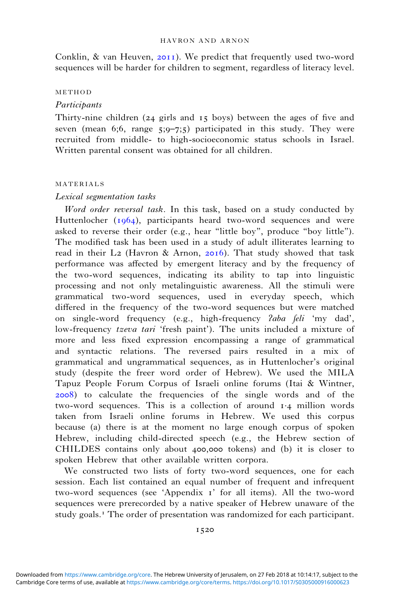Conklin,  $\&$  van Heuven, 2011). We predict that frequently used two-word sequences will be harder for children to segment, regardless of literacy level.

#### METHOD

### **Participants**

Thirty-nine children  $(24 \text{ girls and } 15 \text{ boys})$  between the ages of five and seven (mean  $6;6$ , range  $5;9-7;5$ ) participated in this study. They were recruited from middle- to high-socioeconomic status schools in Israel. Written parental consent was obtained for all children.

#### MATERIALS

### Lexical segmentation tasks

Word order reversal task. In this task, based on a study conducted by Huttenlocher  $(1964)$ , participants heard two-word sequences and were asked to reverse their order (e.g., hear "little boy", produce "boy little"). The modified task has been used in a study of adult illiterates learning to read in their L<sub>2</sub> (Havron & Arnon, 2016). That study showed that task performance was affected by emergent literacy and by the frequency of the two-word sequences, indicating its ability to tap into linguistic processing and not only metalinguistic awareness. All the stimuli were grammatical two-word sequences, used in everyday speech, which differed in the frequency of the two-word sequences but were matched on single-word frequency (e.g., high-frequency *laba [eli* 'my dad', low-frequency *tzeva tari* 'fresh paint'). The units included a mixture of more and less fixed expression encompassing a range of grammatical and syntactic relations. The reversed pairs resulted in a mix of grammatical and ungrammatical sequences, as in Huttenlocher's original study (despite the freer word order of Hebrew). We used the MILA Tapuz People Forum Corpus of Israeli online forums (Itai & Wintner, ) to calculate the frequencies of the single words and of the two-word sequences. This is a collection of around  $\mathbf{r} \cdot \mathbf{4}$  million words taken from Israeli online forums in Hebrew. We used this corpus because (a) there is at the moment no large enough corpus of spoken Hebrew, including child-directed speech (e.g., the Hebrew section of CHILDES contains only about 400,000 tokens) and (b) it is closer to spoken Hebrew that other available written corpora.

We constructed two lists of forty two-word sequences, one for each session. Each list contained an equal number of frequent and infrequent two-word sequences (see 'Appendix  $\mathbf{r}'$  for all items). All the two-word sequences were prerecorded by a native speaker of Hebrew unaware of the study goals.<sup>1</sup> The order of presentation was randomized for each participant.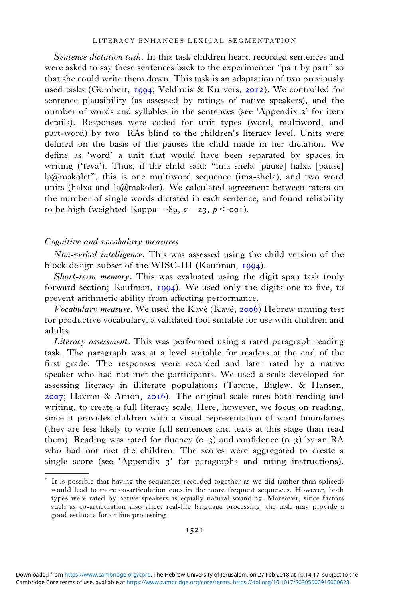Sentence dictation task. In this task children heard recorded sentences and were asked to say these sentences back to the experimenter "part by part" so that she could write them down. This task is an adaptation of two previously used tasks (Gombert, 1994; Veldhuis & Kurvers, 2012). We controlled for sentence plausibility (as assessed by ratings of native speakers), and the number of words and syllables in the sentences (see 'Appendix 2' for item details). Responses were coded for unit types (word, multiword, and part-word) by two RAs blind to the children's literacy level. Units were defined on the basis of the pauses the child made in her dictation. We define as 'word' a unit that would have been separated by spaces in writing ('teva'). Thus, if the child said: "ima shela [pause] halxa [pause] la@makolet", this is one multiword sequence (ima-shela), and two word units (halxa and la@makolet). We calculated agreement between raters on the number of single words dictated in each sentence, and found reliability to be high (weighted Kappa =  $-89$ ,  $z = 23$ ,  $p \le 0.001$ ).

### Cognitive and vocabulary measures

Non-verbal intelligence. This was assessed using the child version of the block design subset of the WISC-III (Kaufman,  $1994$ ).

Short-term memory. This was evaluated using the digit span task (only forward section; Kaufman,  $1994$ ). We used only the digits one to five, to prevent arithmetic ability from affecting performance.

Vocabulary measure. We used the Kavé (Kavé, 2006) Hebrew naming test for productive vocabulary, a validated tool suitable for use with children and adults.

Literacy assessment. This was performed using a rated paragraph reading task. The paragraph was at a level suitable for readers at the end of the first grade. The responses were recorded and later rated by a native speaker who had not met the participants. We used a scale developed for assessing literacy in illiterate populations (Tarone, Biglew, & Hansen,  $2007$ ; Havron & Arnon,  $2016$ ). The original scale rates both reading and writing, to create a full literacy scale. Here, however, we focus on reading, since it provides children with a visual representation of word boundaries (they are less likely to write full sentences and texts at this stage than read them). Reading was rated for fluency  $(0-3)$  and confidence  $(0-3)$  by an RA who had not met the children. The scores were aggregated to create a single score (see 'Appendix  $3'$  for paragraphs and rating instructions).

It is possible that having the sequences recorded together as we did (rather than spliced) would lead to more co-articulation cues in the more frequent sequences. However, both types were rated by native speakers as equally natural sounding. Moreover, since factors such as co-articulation also affect real-life language processing, the task may provide a good estimate for online processing.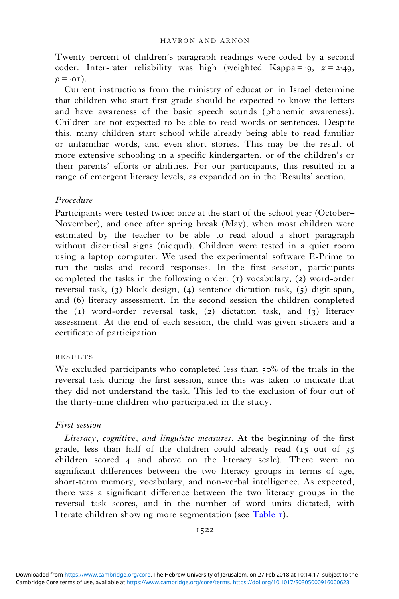Twenty percent of children's paragraph readings were coded by a second coder. Inter-rater reliability was high (weighted Kappa =  $\cdot$ 9,  $z$  = 2 $\cdot$ 49,  $p = \cdot o_1$ ).

Current instructions from the ministry of education in Israel determine that children who start first grade should be expected to know the letters and have awareness of the basic speech sounds (phonemic awareness). Children are not expected to be able to read words or sentences. Despite this, many children start school while already being able to read familiar or unfamiliar words, and even short stories. This may be the result of more extensive schooling in a specific kindergarten, or of the children's or their parents' efforts or abilities. For our participants, this resulted in a range of emergent literacy levels, as expanded on in the 'Results' section.

### Procedure

Participants were tested twice: once at the start of the school year (October– November), and once after spring break (May), when most children were estimated by the teacher to be able to read aloud a short paragraph without diacritical signs (niqqud). Children were tested in a quiet room using a laptop computer. We used the experimental software E-Prime to run the tasks and record responses. In the first session, participants completed the tasks in the following order:  $(1)$  vocabulary,  $(2)$  word-order reversal task,  $(3)$  block design,  $(4)$  sentence dictation task,  $(5)$  digit span, and (6) literacy assessment. In the second session the children completed the  $(i)$  word-order reversal task,  $(i)$  dictation task, and  $(j)$  literacy assessment. At the end of each session, the child was given stickers and a certificate of participation.

#### RESULTS

We excluded participants who completed less than  $50\%$  of the trials in the reversal task during the first session, since this was taken to indicate that they did not understand the task. This led to the exclusion of four out of the thirty-nine children who participated in the study.

## First session

Literacy, cognitive, and linguistic measures. At the beginning of the first grade, less than half of the children could already read  $(15 \text{ out of } 35)$ children scored 4 and above on the literacy scale). There were no significant differences between the two literacy groups in terms of age, short-term memory, vocabulary, and non-verbal intelligence. As expected, there was a significant difference between the two literacy groups in the reversal task scores, and in the number of word units dictated, with literate children showing more segmentation (see [Table](#page-7-0) ).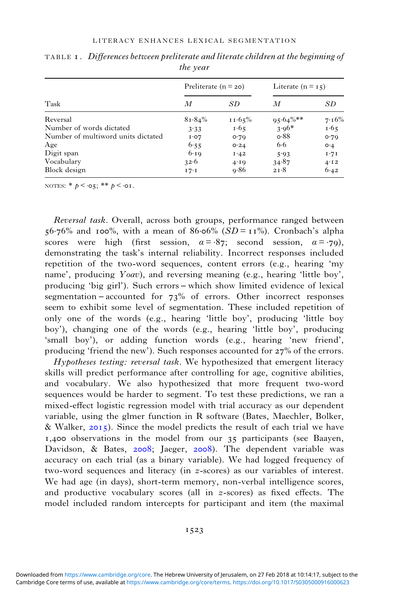|                                    | Preliterate $(n = 20)$ |           | Literate $(n = 15)$ |       |  |
|------------------------------------|------------------------|-----------|---------------------|-------|--|
| Task                               | М                      | SD        | M                   | SD    |  |
| Reversal                           | $81.84\%$              | $11.65\%$ | $95.64\%$ **        | 7.16% |  |
| Number of words dictated           | 3.33                   | 1.65      | $3.96*$             | 1.65  |  |
| Number of multiword units dictated | I O 7                  | o.79      | $\circ 88$          | 0.79  |  |
| Age                                | 6.55                   | O.24      | $6 - 6$             | o.4   |  |
| Digit span                         | 6.19                   | I.42      | 5.93                | 1.71  |  |
| Vocabulary                         | 32.6                   | 4.19      | 34.87               | 4.12  |  |
| Block design                       | 17.1                   | 9.86      | 21.8                | 6.42  |  |

<span id="page-7-0"></span>TABLE I. Differences between preliterate and literate children at the beginning of the year

NOTES:  $*$   $p < \cdot 05$ ;  $**$   $p < \cdot 01$ .

Reversal task. Overall, across both groups, performance ranged between  $56.76\%$  and  $100\%$ , with a mean of  $86.06\%$  ( $SD = 11\%$ ). Cronbach's alpha scores were high (first session,  $\alpha = .87$ ; second session,  $\alpha = .79$ ), demonstrating the task's internal reliability. Incorrect responses included repetition of the two-word sequences, content errors (e.g., hearing 'my name', producing  $Yoav$ ), and reversing meaning (e.g., hearing 'little boy', producing 'big girl'). Such errors – which show limited evidence of lexical segmentation – accounted for  $73\%$  of errors. Other incorrect responses seem to exhibit some level of segmentation. These included repetition of only one of the words (e.g., hearing 'little boy', producing 'little boy boy'), changing one of the words (e.g., hearing 'little boy', producing 'small boy'), or adding function words (e.g., hearing 'new friend', producing 'friend the new'). Such responses accounted for  $27\%$  of the errors.

Hypotheses testing: reversal task. We hypothesized that emergent literacy skills will predict performance after controlling for age, cognitive abilities, and vocabulary. We also hypothesized that more frequent two-word sequences would be harder to segment. To test these predictions, we ran a mixed-effect logistic regression model with trial accuracy as our dependent variable, using the glmer function in R software (Bates, Maechler, Bolker, & Walker,  $2015$ ). Since the model predicts the result of each trial we have  $I, 400$  observations in the model from our  $35$  participants (see Baayen, Davidson, & Bates, 2008; Jaeger, 2008). The dependent variable was accuracy on each trial (as a binary variable). We had logged frequency of two-word sequences and literacy (in z-scores) as our variables of interest. We had age (in days), short-term memory, non-verbal intelligence scores, and productive vocabulary scores (all in z-scores) as fixed effects. The model included random intercepts for participant and item (the maximal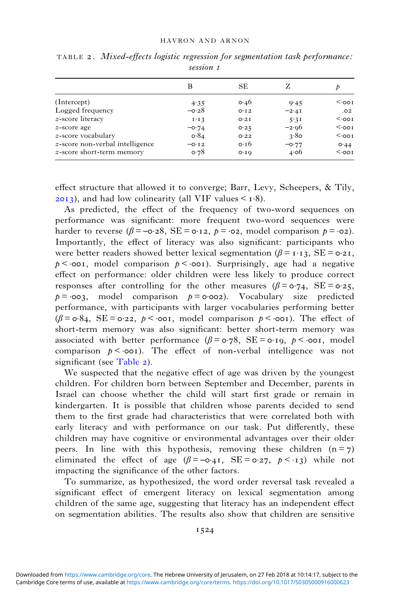|                                 | B             | <b>SE</b>     | Z       | P               |
|---------------------------------|---------------|---------------|---------|-----------------|
| (Intercept)                     | 4.35          | $\circ$ 46    | 9.45    | $\sim$ 00 I     |
| Logged frequency                | $-\circ 28$   | O·I2          | $-2.4I$ | .02             |
| <i>z</i> -score literacy        | $I \cdot I$ 3 | O 2I          | 5.31    | $<$ $\cdot$ 00I |
| z-score age                     | $-0.74$       | 0.25          | $-2.06$ | $<$ $\cdot$ 00I |
| z-score vocabulary              | $\sigma$ -84  | O.22          | 3.80    | $<$ $\cdot$ 00I |
| z-score non-verbal intelligence | $-0.12$       | 0.16          | $-0.77$ | O.44            |
| z-score short-term memory       | o.78          | $O \cdot I$ O | 4.06    | $<$ $\cdot$ 00I |

TABLE 2. Mixed-effects logistic regression for segmentation task performance: session 1

effect structure that allowed it to converge; Barr, Levy, Scheepers, & Tily,  $(2013)$ , and had low colinearity (all VIF values <  $\sim 1.8$ ).

As predicted, the effect of the frequency of two-word sequences on performance was significant: more frequent two-word sequences were harder to reverse ( $\beta = -\text{o-28}$ , SE =  $\text{o-12}$ ,  $p = \text{o-2}$ , model comparison  $p = \text{o-2}$ ). Importantly, the effect of literacy was also significant: participants who were better readers showed better lexical segmentation ( $\beta = 1.13$ , SE =  $\sigma$ -21,  $p <$  oo1, model comparison  $p <$  oo1). Surprisingly, age had a negative effect on performance: older children were less likely to produce correct responses after controlling for the other measures  $(\beta = \circ 2, \cdot \infty)$ . SE =  $\circ 2, \cdot \infty$ .  $p = \infty$ 3, model comparison  $p = \infty$ 2). Vocabulary size predicted performance, with participants with larger vocabularies performing better  $(\beta = \circ 84, \text{ SE} = \circ 22, \ p \le \circ \text{OT}, \text{ model comparison } p \le \circ \text{OT}.$  The effect of short-term memory was also significant: better short-term memory was associated with better performance  $(\beta = \alpha \cdot 78)$ , SE =  $\alpha \cdot 19$ ,  $\beta \le \alpha \cdot 19$ , model comparison  $p < \text{coor}$ ). The effect of non-verbal intelligence was not significant (see Table 2).

We suspected that the negative effect of age was driven by the youngest children. For children born between September and December, parents in Israel can choose whether the child will start first grade or remain in kindergarten. It is possible that children whose parents decided to send them to the first grade had characteristics that were correlated both with early literacy and with performance on our task. Put differently, these children may have cognitive or environmental advantages over their older peers. In line with this hypothesis, removing these children  $(n = 7)$ eliminated the effect of age  $(\beta = -0.41, \text{ } SE = 0.27, \text{ } p \leq 1.1)$  while not impacting the significance of the other factors.

To summarize, as hypothesized, the word order reversal task revealed a significant effect of emergent literacy on lexical segmentation among children of the same age, suggesting that literacy has an independent effect on segmentation abilities. The results also show that children are sensitive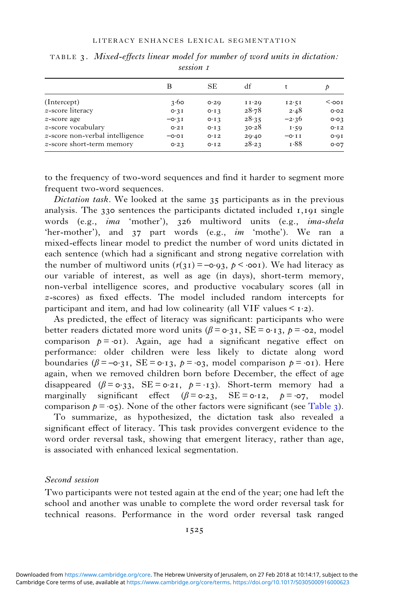|                                 | В       | <b>SE</b>     | df             | t       | Þ            |
|---------------------------------|---------|---------------|----------------|---------|--------------|
| (Intercept)                     | 3.60    | O.2Q          | $I I \cdot 2Q$ | 12.51   | $001$        |
| z-score literacy                | O.3I    | $O \cdot I$ 3 | 28.78          | 2.48    | O O 2        |
| <i>z</i> -score age             | $-0.3I$ | $O \cdot I$ 3 | 28.35          | $-2.36$ | O O 3        |
| z-score vocabulary              | O 2I    | $O \cdot I$ 3 | 30.28          | 1.59    | O·I2         |
| z-score non-verbal intelligence | $-0.01$ | O·I2          | 20.40          | $-0.11$ | $O \cdot QI$ |
| z-score short-term memory       | 0.23    | O·I2          | 28.23          | 1.88    | O O7         |

TABLE  $\alpha$ . Mixed-effects linear model for number of word units in dictation: session 1

to the frequency of two-word sequences and find it harder to segment more frequent two-word sequences.

Dictation task. We looked at the same  $35$  participants as in the previous analysis. The  $330$  sentences the participants dictated included  $1,191$  single words (e.g., ima 'mother'), 326 multiword units (e.g., ima-shela 'her-mother'), and  $37$  part words (e.g., im 'mothe'). We ran a mixed-effects linear model to predict the number of word units dictated in each sentence (which had a significant and strong negative correlation with the number of multiword units  $(r(31) = -0.93, p \le 0.001)$ . We had literacy as our variable of interest, as well as age (in days), short-term memory, non-verbal intelligence scores, and productive vocabulary scores (all in z-scores) as fixed effects. The model included random intercepts for participant and item, and had low colinearity (all VIF values  $\leq$  1.2).

As predicted, the effect of literacy was significant: participants who were better readers dictated more word units  $(\beta = o \cdot 3I, SE = o \cdot 13, p = o \cdot 2,$  model comparison  $p = o_1$ . Again, age had a significant negative effect on performance: older children were less likely to dictate along word boundaries  $(\beta = -\mathbf{o} \cdot \mathbf{a}), \text{ } SE = \mathbf{o} \cdot \mathbf{a}, \text{ } p = \mathbf{o} \cdot \mathbf{a}, \text{ } \text{ model comparison } p = \mathbf{o} \cdot \mathbf{o}.$  Here again, when we removed children born before December, the effect of age disappeared ( $\beta = \sigma_3$ , SE =  $\sigma_2$ ,  $p = -1$ ;). Short-term memory had a marginally significant effect  $(\beta = \sigma \cdot 23, \quad SE = \sigma \cdot 12, \quad p = \sigma \cdot 7, \quad \text{model}$ comparison  $p = \infty$ , None of the other factors were significant (see Table 3).

To summarize, as hypothesized, the dictation task also revealed a significant effect of literacy. This task provides convergent evidence to the word order reversal task, showing that emergent literacy, rather than age, is associated with enhanced lexical segmentation.

## Second session

Two participants were not tested again at the end of the year; one had left the school and another was unable to complete the word order reversal task for technical reasons. Performance in the word order reversal task ranged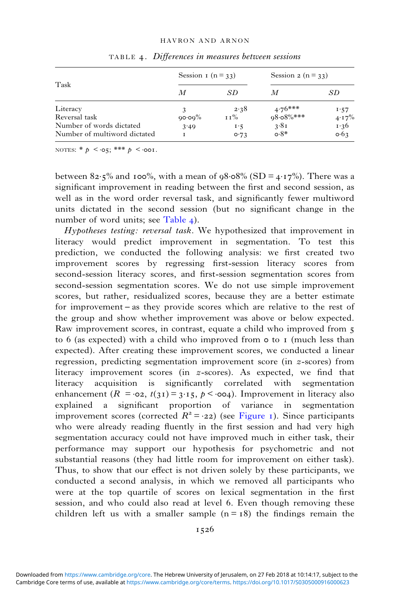#### HAVRON AND ARNON

|                              | Session $r(n = 33)$ |       | Session 2 ( $n = 33$ ) |          |  |
|------------------------------|---------------------|-------|------------------------|----------|--|
| Task                         | М                   | SD    | М                      | SD       |  |
| Literacy                     |                     | 2.38  | $4.76***$              | 1.57     |  |
| Reversal task                | $90.09\%$           | 1 1 % | $98.08\%$ ***          | $4.17\%$ |  |
| Number of words dictated     | 3.49                | 1.5   | 3.81                   | 1.36     |  |
| Number of multiword dictated |                     | 0.73  | $\circ 8^*$            | 0.63     |  |

TABLE 4. Differences in measures between sessions

NOTES: \*  $p \leq \log$ ; \*\*\*  $p \leq \log$ .

between  $82.5\%$  and  $100\%$ , with a mean of  $98.08\%$  (SD =  $4.17\%$ ). There was a significant improvement in reading between the first and second session, as well as in the word order reversal task, and significantly fewer multiword units dictated in the second session (but no significant change in the number of word units; see Table 4).

Hypotheses testing: reversal task. We hypothesized that improvement in literacy would predict improvement in segmentation. To test this prediction, we conducted the following analysis: we first created two improvement scores by regressing first-session literacy scores from second-session literacy scores, and first-session segmentation scores from second-session segmentation scores. We do not use simple improvement scores, but rather, residualized scores, because they are a better estimate for improvement – as they provide scores which are relative to the rest of the group and show whether improvement was above or below expected. Raw improvement scores, in contrast, equate a child who improved from to  $6$  (as expected) with a child who improved from  $\circ$  to  $\bar{1}$  (much less than expected). After creating these improvement scores, we conducted a linear regression, predicting segmentation improvement score (in z-scores) from literacy improvement scores (in z-scores). As expected, we find that literacy acquisition is significantly correlated with segmentation enhancement ( $R = \infty$ ,  $t(31) = 3.15$ ,  $p < \infty$ ). Improvement in literacy also explained a significant proportion of variance in segmentation improvement scores (corrected  $R^2 = -22$ ) (see [Figure](#page-11-0) 1). Since participants who were already reading fluently in the first session and had very high segmentation accuracy could not have improved much in either task, their performance may support our hypothesis for psychometric and not substantial reasons (they had little room for improvement on either task). Thus, to show that our effect is not driven solely by these participants, we conducted a second analysis, in which we removed all participants who were at the top quartile of scores on lexical segmentation in the first session, and who could also read at level 6. Even though removing these children left us with a smaller sample  $(n = 18)$  the findings remain the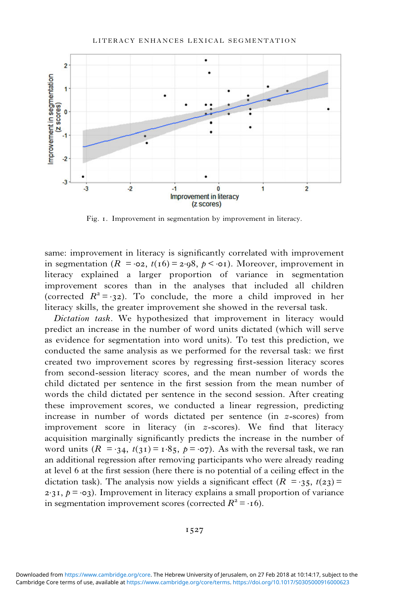#### LITERACY ENHANCES LEXICAL SEGMENTATION

<span id="page-11-0"></span>

Fig. 1. Improvement in segmentation by improvement in literacy.

same: improvement in literacy is significantly correlated with improvement in segmentation ( $R = \infty$ ,  $t(16) = 2.98$ ,  $p < \infty$ ). Moreover, improvement in literacy explained a larger proportion of variance in segmentation improvement scores than in the analyses that included all children (corrected  $R^2 = -32$ ). To conclude, the more a child improved in her literacy skills, the greater improvement she showed in the reversal task.

Dictation task. We hypothesized that improvement in literacy would predict an increase in the number of word units dictated (which will serve as evidence for segmentation into word units). To test this prediction, we conducted the same analysis as we performed for the reversal task: we first created two improvement scores by regressing first-session literacy scores from second-session literacy scores, and the mean number of words the child dictated per sentence in the first session from the mean number of words the child dictated per sentence in the second session. After creating these improvement scores, we conducted a linear regression, predicting increase in number of words dictated per sentence (in z-scores) from improvement score in literacy (in z-scores). We find that literacy acquisition marginally significantly predicts the increase in the number of word units  $(R = 34, t(31) = 1.85, p = 0.07)$ . As with the reversal task, we ran an additional regression after removing participants who were already reading at level at the first session (here there is no potential of a ceiling effect in the dictation task). The analysis now yields a significant effect  $(R = 35, t(23))$  $2.31, p = 03$ . Improvement in literacy explains a small proportion of variance in segmentation improvement scores (corrected  $R^2 = -16$ ).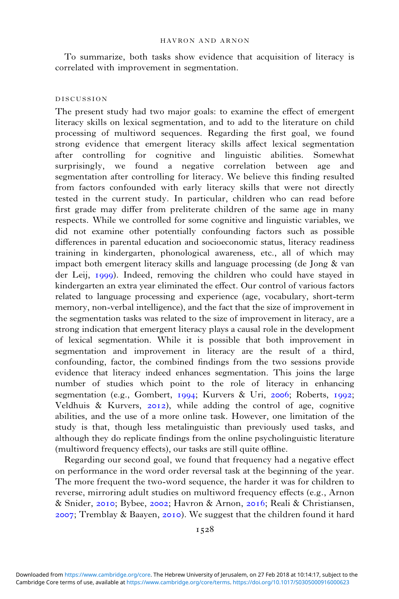To summarize, both tasks show evidence that acquisition of literacy is correlated with improvement in segmentation.

### DISCUSSION

The present study had two major goals: to examine the effect of emergent literacy skills on lexical segmentation, and to add to the literature on child processing of multiword sequences. Regarding the first goal, we found strong evidence that emergent literacy skills affect lexical segmentation after controlling for cognitive and linguistic abilities. Somewhat surprisingly, we found a negative correlation between age and segmentation after controlling for literacy. We believe this finding resulted from factors confounded with early literacy skills that were not directly tested in the current study. In particular, children who can read before first grade may differ from preliterate children of the same age in many respects. While we controlled for some cognitive and linguistic variables, we did not examine other potentially confounding factors such as possible differences in parental education and socioeconomic status, literacy readiness training in kindergarten, phonological awareness, etc., all of which may impact both emergent literacy skills and language processing (de Jong & van der Leij, 1999). Indeed, removing the children who could have stayed in kindergarten an extra year eliminated the effect. Our control of various factors related to language processing and experience (age, vocabulary, short-term memory, non-verbal intelligence), and the fact that the size of improvement in the segmentation tasks was related to the size of improvement in literacy, are a strong indication that emergent literacy plays a causal role in the development of lexical segmentation. While it is possible that both improvement in segmentation and improvement in literacy are the result of a third, confounding, factor, the combined findings from the two sessions provide evidence that literacy indeed enhances segmentation. This joins the large number of studies which point to the role of literacy in enhancing segmentation (e.g., Gombert, 1994; Kurvers & Uri, 2006; Roberts, 1992; Veldhuis  $\&$  Kurvers, 2012), while adding the control of age, cognitive abilities, and the use of a more online task. However, one limitation of the study is that, though less metalinguistic than previously used tasks, and although they do replicate findings from the online psycholinguistic literature (multiword frequency effects), our tasks are still quite offline.

Regarding our second goal, we found that frequency had a negative effect on performance in the word order reversal task at the beginning of the year. The more frequent the two-word sequence, the harder it was for children to reverse, mirroring adult studies on multiword frequency effects (e.g., Arnon & Snider, 2010; Bybee, 2002; Havron & Arnon, 2016; Reali & Christiansen,  $2007$ ; Tremblay & Baayen,  $2010$ . We suggest that the children found it hard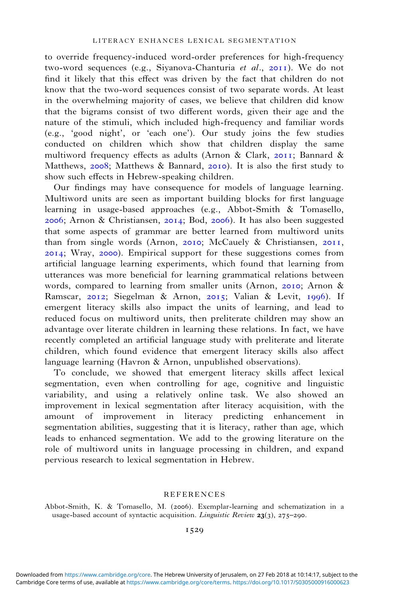<span id="page-13-0"></span>to override frequency-induced word-order preferences for high-frequency two-word sequences (e.g., Siyanova-Chanturia et al., 2011). We do not find it likely that this effect was driven by the fact that children do not know that the two-word sequences consist of two separate words. At least in the overwhelming majority of cases, we believe that children did know that the bigrams consist of two different words, given their age and the nature of the stimuli, which included high-frequency and familiar words (e.g., 'good night', or 'each one'). Our study joins the few studies conducted on children which show that children display the same multiword frequency effects as adults (Arnon & Clark, 2011; Bannard & Matthews,  $2008$ ; Matthews & Bannard,  $2010$ ). It is also the first study to show such effects in Hebrew-speaking children.

Our findings may have consequence for models of language learning. Multiword units are seen as important building blocks for first language learning in usage-based approaches (e.g., Abbot-Smith & Tomasello,  $2006$ ; Arnon & Christiansen,  $2014$ ; Bod,  $2006$ ). It has also been suggested that some aspects of grammar are better learned from multiword units than from single words (Arnon, 2010; McCauely & Christiansen, 2011,  $2014$ ; Wray,  $2000$ ). Empirical support for these suggestions comes from artificial language learning experiments, which found that learning from utterances was more beneficial for learning grammatical relations between words, compared to learning from smaller units (Arnon, 2010; Arnon  $\&$ Ramscar, 2012; Siegelman & Arnon, 2015; Valian & Levit, 1996). If emergent literacy skills also impact the units of learning, and lead to reduced focus on multiword units, then preliterate children may show an advantage over literate children in learning these relations. In fact, we have recently completed an artificial language study with preliterate and literate children, which found evidence that emergent literacy skills also affect language learning (Havron & Arnon, unpublished observations).

To conclude, we showed that emergent literacy skills affect lexical segmentation, even when controlling for age, cognitive and linguistic variability, and using a relatively online task. We also showed an improvement in lexical segmentation after literacy acquisition, with the amount of improvement in literacy predicting enhancement in segmentation abilities, suggesting that it is literacy, rather than age, which leads to enhanced segmentation. We add to the growing literature on the role of multiword units in language processing in children, and expand pervious research to lexical segmentation in Hebrew.

#### REFERENCES

Abbot-Smith, K. & Tomasello, M. (2006). Exemplar-learning and schematization in a usage-based account of syntactic acquisition. *Linguistic Review* **23**(3), 275–290.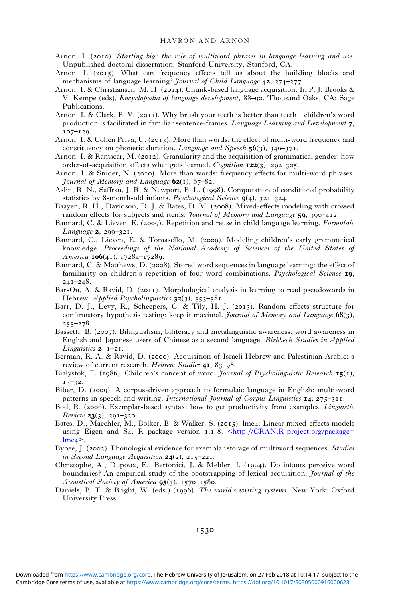#### HAVRON AND ARNON

- <span id="page-14-0"></span>Arnon, I. (2010). Starting big: the role of multiword phrases in language learning and use. Unpublished doctoral dissertation, Stanford University, Stanford, CA.
- Arnon, I. (2015). What can frequency effects tell us about the building blocks and mechanisms of language learning? *Journal of Child Language* 42, 274-277.
- Arnon, I. & Christiansen, M. H. (2014). Chunk-based language acquisition. In P. J. Brooks & V. Kempe (eds), *Encyclopedia of language development*, 88–90. Thousand Oaks, CA: Sage Publications.
- Arnon, I. & Clark, E. V. (2011). Why brush your teeth is better than teeth children's word production is facilitated in familiar sentence-frames. Language Learning and Development  $\tau$ ,  $107 - 129$ .
- Arnon, I. & Cohen Priva, U. (2013). More than words: the effect of multi-word frequency and constituency on phonetic duration. Language and Speech  $56(3)$ , 349-371.
- Arnon, I. & Ramscar, M. (2012). Granularity and the acquisition of grammatical gender: how order-of-acquisition affects what gets learned. Cognition  $122(3)$ , 292-305.
- Arnon, I. & Snider, N. (2010). More than words: frequency effects for multi-word phrases. Yournal of Memory and Language  $62(1)$ , 67–82.
- Aslin, R. N., Saffran, J. R. & Newport, E. L. (1998). Computation of conditional probability statistics by 8-month-old infants. Psychological Science  $q(4)$ , 321-324.
- Baayen, R. H., Davidson, D. J. & Bates, D. M. (2008). Mixed-effects modeling with crossed random effects for subjects and items. Journal of Memory and Language  $59$ , 390-412.
- Bannard, C. & Lieven, E. (2009). Repetition and reuse in child language learning. Formulaic Language  $2, 299 - 321$ .
- Bannard, C., Lieven, E. & Tomasello, M. (2009). Modeling children's early grammatical knowledge. Proceedings of the National Academy of Sciences of the United States of *America*  $\text{IO6}(41)$ ,  $17284 - 17289$ .
- Bannard, C. & Matthews, D. (2008). Stored word sequences in language learning: the effect of familiarity on children's repetition of four-word combinations. Psychological Science 19,  $241 - 248$ .
- Bar-On, A. & Ravid, D. (2011). Morphological analysis in learning to read pseudowords in Hebrew. Applied Psycholinguistics  $32(3)$ , 553–581.
- Barr, D. J., Levy, R., Scheepers, C. & Tily, H. J. (2013). Random effects structure for confirmatory hypothesis testing: keep it maximal. Journal of Memory and Language  $68(3)$ ,  $255 - 278.$
- Bassetti, B. (2007). Bilingualism, biliteracy and metalinguistic awareness: word awareness in English and Japanese users of Chinese as a second language. Birkbeck Studies in Applied Linguistics  $2, 1-21$ .
- Berman, R. A. & Ravid, D. (2000). Acquisition of Israeli Hebrew and Palestinian Arabic: a review of current research. Hebrew Studies 41, 83-98.
- Bialystok, E. (1986). Children's concept of word. *Journal of Psycholinguistic Research*  $15(1)$ ,  $13 - 32.$
- Biber, D. (2009). A corpus-driven approach to formulaic language in English: multi-word patterns in speech and writing. International Journal of Corpus Linguistics  $I_4$ ,  $275-311$ .
- Bod, R. (2006). Exemplar-based syntax: how to get productivity from examples. *Linguistic Review* **23** $(3)$ , 291-320.
- Bates, D., Maechler, M., Bolker, B. & Walker, S. (2015). lme4: Linear mixed-effects models using Eigen and S4. R package version 1.1-8. [<http://CRAN.R-project.org/package=](http://CRAN.R-project.org/package=lme4)  $lme<sub>4</sub>$  $lme<sub>4</sub>$ .
- Bybee, J. (2002). Phonological evidence for exemplar storage of multiword sequences. Studies in Second Language Acquisition  $24(2)$ , 215–221.
- Christophe, A., Dupoux, E., Bertonici, J. & Mehler, J. (1994). Do infants perceive word boundaries? An empirical study of the bootstrapping of lexical acquisition. *Journal of the* Acoustical Society of America  $\mathbf{95}(3)$ ,  $1570 - 1580$ .
- Daniels, P. T. & Bright, W. (eds.) (1996). The world's writing systems. New York: Oxford University Press.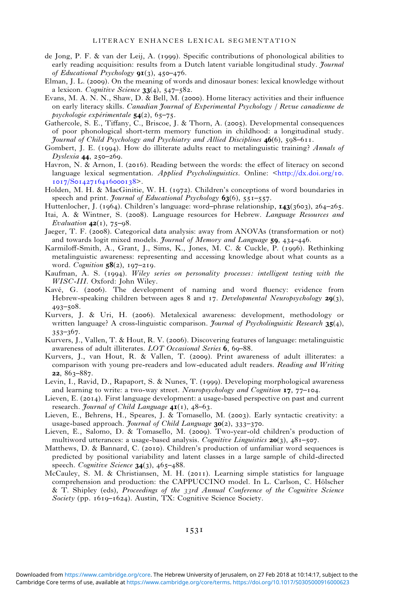- <span id="page-15-0"></span>de Jong, P. F. & van der Leij, A. (1999). Specific contributions of phonological abilities to early reading acquisition: results from a Dutch latent variable longitudinal study. *Journal* of Educational Psychology  $q_{I(3), 450-476.}$
- Elman, J. L. (2009). On the meaning of words and dinosaur bones: lexical knowledge without a lexicon. Cognitive Science  $33(4)$ ,  $547-582$ .
- Evans, M. A. N. N., Shaw, D. & Bell, M. (2000). Home literacy activities and their influence on early literacy skills. Canadian Journal of Experimental Psychology / Revue canadienne de psychologie expérimentale  $54(2)$ , 65-75.
- Gathercole, S. E., Tiffany, C., Briscoe, J. & Thorn, A. (2005). Developmental consequences of poor phonological short-term memory function in childhood: a longitudinal study. Journal of Child Psychology and Psychiatry and Allied Disciplines  $46(6)$ , 598–611.
- Gombert, J. E. (1994). How do illiterate adults react to metalinguistic training? Annals of Dyslexia 44, 250-269.
- Havron, N. & Arnon, I. (2016). Reading between the words: the effect of literacy on second language lexical segmentation. Applied Psycholinguistics. Online:  $\frac{\text{http://dx.doi.org/io.}}{\text{http://dx.doi.org/io.}}$  $\frac{\text{http://dx.doi.org/io.}}{\text{http://dx.doi.org/io.}}$  $\frac{\text{http://dx.doi.org/io.}}{\text{http://dx.doi.org/io.}}$  $1017/S0142716416000138$
- Holden, M. H. & MacGinitie, W. H. (1972). Children's conceptions of word boundaries in speech and print. *Journal of Educational Psychology*  $63(6)$ , 551-557.
- Huttenlocher, J. (1964). Children's language: word–phrase relationship,  $\mathbf{143}$ (3603), 264–265.
- Itai, A. & Wintner, S. (2008). Language resources for Hebrew. *Language Resources and* Evaluation  $42(1)$ , 75–98.
- Jaeger, T. F. (2008). Categorical data analysis: away from ANOVAs (transformation or not) and towards logit mixed models. Journal of Memory and Language 59, 434-446.
- Karmiloff-Smith, A., Grant, J., Sims, K., Jones, M. C. & Cuckle, P. (1996). Rethinking metalinguistic awareness: representing and accessing knowledge about what counts as a word. Cognition  $58(2)$ , 197-219.
- Kaufman, A. S. (1994). Wiley series on personality processes: intelligent testing with the WISC-III. Oxford: John Wiley.
- Kavé, G. (2006). The development of naming and word fluency: evidence from Hebrew-speaking children between ages 8 and 17. Developmental Neuropsychology  $29(3)$ ,  $493 - 508$ .
- Kurvers, J. & Uri, H. (2006). Metalexical awareness: development, methodology or written language? A cross-linguistic comparison. *Journal of Psycholinguistic Research*  $35(4)$ ,  $353 - 367$ .
- Kurvers, J., Vallen, T. & Hout, R. V. (2006). Discovering features of language: metalinguistic awareness of adult illiterates.  $LOT$  Occasional Series  $6, 69-88$ .
- Kurvers, J., van Hout, R. & Vallen, T. (2009). Print awareness of adult illiterates: a comparison with young pre-readers and low-educated adult readers. Reading and Writing 22,  $863 - 887$ .
- Levin, I., Ravid, D., Rapaport, S. & Nunes, T. (1999). Developing morphological awareness and learning to write: a two-way street. Neuropsychology and Cognition  $17, 77$ –104.
- Lieven, E. (2014). First language development: a usage-based perspective on past and current research. Journal of Child Language  $4I(1)$ ,  $48-63$ .
- Lieven, E., Behrens, H., Speares, J. & Tomasello, M. (2003). Early syntactic creativity: a usage-based approach. *Journal of Child Language*  $30(z)$ ,  $333-370$ .
- Lieven, E., Salomo, D. & Tomasello, M. (2009). Two-year-old children's production of multiword utterances: a usage-based analysis. Cognitive Linguistics  $20(3)$ ,  $481-507$ .
- Matthews, D. & Bannard, C. (2010). Children's production of unfamiliar word sequences is predicted by positional variability and latent classes in a large sample of child-directed speech. Cognitive Science  $34(3)$ , 465-488.
- McCauley, S. M. & Christiansen, M. H. (2011). Learning simple statistics for language comprehension and production: the CAPPUCCINO model. In L. Carlson, C. Hölscher & T. Shipley (eds), Proceedings of the 33rd Annual Conference of the Cognitive Science Society (pp. 1619-1624). Austin, TX: Cognitive Science Society.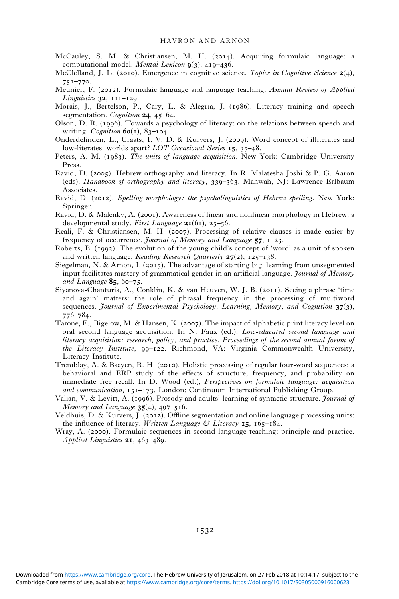- <span id="page-16-0"></span>McCauley, S. M. & Christiansen, M. H. (2014). Acquiring formulaic language: a computational model. Mental Lexicon  $g(3)$ , 419-436.
- McClelland, J. L. (2010). Emergence in cognitive science. Topics in Cognitive Science  $2(4)$ ,  $75I - 770.$
- Meunier, F. (2012). Formulaic language and language teaching. Annual Review of Applied Linguistics  $32$ ,  $111-129$ .
- Morais, J., Bertelson, P., Cary, L. & Alegria, J. (1986). Literacy training and speech segmentation. Cognition  $24, 45-64$ .
- Olson, D. R. (1996). Towards a psychology of literacy: on the relations between speech and writing. Cognition  $60(1)$ ,  $83-104$ .
- Onderdelinden, L., Craats, I. V. D. & Kurvers, J. (2009). Word concept of illiterates and low-literates: worlds apart?  $LOT$  Occasional Series  $15, 35-48$ .
- Peters, A. M. (1983). The units of language acquisition. New York: Cambridge University Press.
- Ravid, D. (2005). Hebrew orthography and literacy. In R. Malatesha Joshi & P. G. Aaron (eds), *Handbook of orthography and literacy*,  $339-363$ . Mahwah, NJ: Lawrence Erlbaum Associates.
- Ravid, D. (2012). Spelling morphology: the psycholinguistics of Hebrew spelling. New York: Springer.
- Ravid, D. & Malenky, A. (2001). Awareness of linear and nonlinear morphology in Hebrew: a developmental study. First Language  $2I(61)$ , 25-56.
- Reali, F. & Christiansen, M. H. (2007). Processing of relative clauses is made easier by frequency of occurrence. *Journal of Memory and Language*  $57$ ,  $1-23$ .
- Roberts, B.  $(1992)$ . The evolution of the young child's concept of 'word' as a unit of spoken and written language. Reading Research Quarterly  $27(z)$ ,  $125-138$ .
- Siegelman, N. & Arnon, I. (2015). The advantage of starting big: learning from unsegmented input facilitates mastery of grammatical gender in an artificial language. *Journal of Memory* and Language  $85, 60-75.$
- Siyanova-Chanturia, A., Conklin, K. & van Heuven, W. J. B. (2011). Seeing a phrase 'time and again' matters: the role of phrasal frequency in the processing of multiword sequences. *Journal of Experimental Psychology. Learning, Memory, and Cognition*  $37(3)$ ,  $776 - 784.$
- Tarone, E., Bigelow, M. & Hansen, K. (2007). The impact of alphabetic print literacy level on oral second language acquisition. In N. Faux (ed.), Low-educated second language and literacy acquisition: research, policy, and practice. Proceedings of the second annual forum of the Literacy Institute, 99-122. Richmond, VA: Virginia Commonwealth University, Literacy Institute.
- Tremblay, A. & Baayen, R. H. (2010). Holistic processing of regular four-word sequences: a behavioral and ERP study of the effects of structure, frequency, and probability on immediate free recall. In D. Wood (ed.), Perspectives on formulaic language: acquisition and communication,  $151-173$ . London: Continuum International Publishing Group.
- Valian, V. & Levitt, A. (1996). Prosody and adults' learning of syntactic structure. *Journal of* Memory and Language  $35(4)$ ,  $497-516$ .
- Veldhuis, D. & Kurvers, J. (2012). Offline segmentation and online language processing units: the influence of literacy. Written Language  $\mathfrak{S}$  Literacy 15, 165–184.
- Wray, A. (2000). Formulaic sequences in second language teaching: principle and practice. Applied Linguistics  $2I$ , 463-489.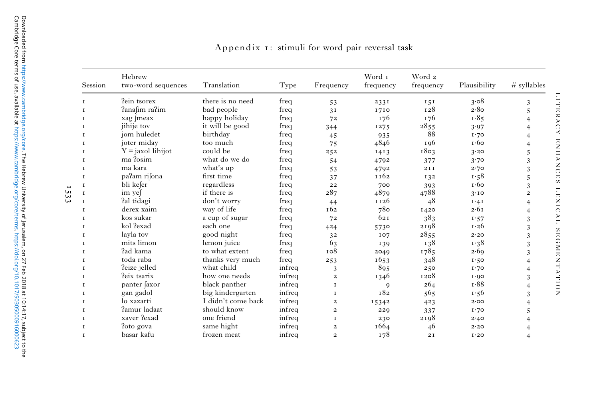| Session      | Hebrew<br>two-word sequences | Translation        | Type   | Frequency               | Word 1<br>frequency | Word 2<br>frequency | Plausibility    | # syllables    |
|--------------|------------------------------|--------------------|--------|-------------------------|---------------------|---------------------|-----------------|----------------|
| T.           | ?ein tsorex                  | there is no need   | freq   | 53                      | 2331                | 151                 | 3.08            | 3              |
| T            | ?anafim ra?im                | bad people         | freq   | 3I                      | 1710                | 128                 | 2.80            | 5              |
| T            | xag meax                     | happy holiday      | freq   | 72                      | 176                 | 176                 | 1.85            | $\overline{4}$ |
| 1            | jihije tov                   | it will be good    | freq   | 344                     | 1275                | 2855                | 3.97            | $\overline{4}$ |
| <b>I</b>     | jom huledet                  | birthday           | freq   | 45                      | 935                 | 88                  | I.70            | $\overline{4}$ |
| T            | joter miday                  | too much           | freq   | 75                      | 4846                | 196                 | $\mathbf{r}$ 60 | $\overline{4}$ |
| 1            | $Y =$ jaxol lihijot          | could be           | freq   | 252                     | 1413                | 1803                | 3.20            | 5              |
| 1            | ma ?osim                     | what do we do      | freq   | 54                      | 4792                | 377                 | 3.70            | 3              |
| T.           | ma kara                      | what's up          | freq   | 53                      | 4792                | 211                 | 2.70            | 3              |
| T            | pa?am rifona                 | first time         | freq   | 37                      | 1162                | 132                 | 1.58            | 5              |
| $\mathbf I$  | bli kefer                    | regardless         | freq   | 22                      | 700                 | 393                 | $\mathbf{r}$ 60 | 3              |
| 1            | im yef                       | if there is        | freq   | 287                     | 4879                | 4788                | 3.10            | $\overline{a}$ |
| T.           | fal tidagi                   | don't worry        | freq   | 44                      | 1126                | 48                  | $I \cdot 4I$    | $\overline{4}$ |
| $\mathbf{I}$ | derex xaim                   | way of life        | freq   | 162                     | 78 <sub>o</sub>     | 1420                | 2.61            | $\overline{4}$ |
| 1            | kos sukar                    | a cup of sugar     | freq   | 72                      | 621                 | 383                 | 1.57            | 3              |
| $\mathbf{I}$ | kol ?exad                    | each one           | freq   | 424                     | 5730                | 2198                | 1.26            | 3              |
| T            | layla tov                    | good night         | freq   | 32                      | IO7                 | 2855                | 2.20            | 3              |
| 1            | mits limon                   | lemon juice        | freq   | 63                      | 139                 | 138                 | 1.38            | 3              |
| 1            | ?ad kama                     | to what extent     | freq   | 108                     | 2049                | 1785                | 2.69            | 3              |
| T            | toda raba                    | thanks very much   | freq   | 253                     | 1653                | 348                 | 1.50            | $\overline{4}$ |
| 1            | ?eize jelled                 | what child         | infreq | 3                       | 895                 | 250                 | I.70            | $\overline{4}$ |
| 1            | ?eix tsarix                  | how one needs      | infreq | $\overline{a}$          | 1346                | 1208                | 1.00            | 3              |
| T.           | panter faxor                 | black panther      | infreq | $\mathbf{I}$            | $\mathbf Q$         | 264                 | 1.88            | $\overline{4}$ |
| T            | gan gadol                    | big kindergarten   | infreq | $\mathbf I$             | 182                 | 565                 | 1.56            | 3              |
| $\mathbf I$  | lo xazarti                   | I didn't come back | infreq | $\overline{\mathbf{c}}$ | 15342               | 423                 | 2.00            |                |
| 1            | ?amur ladaat                 | should know        | infreq | $\overline{2}$          | 229                 | 337                 | I.70            | 5              |
| 1            | xaver ?exad                  | one friend         | infreq | $\mathbf I$             | 230                 | 2198                | 2.40            |                |
| T            | ?oto gova                    | same hight         | infreq | $\overline{\mathbf{c}}$ | 1664                | 46                  | 2.20            |                |
| T            | basar kafu                   | frozen meat        | infreq | $\overline{2}$          | 178                 | 2I                  | I.20            |                |

## Appendix : stimuli for word pair reversal task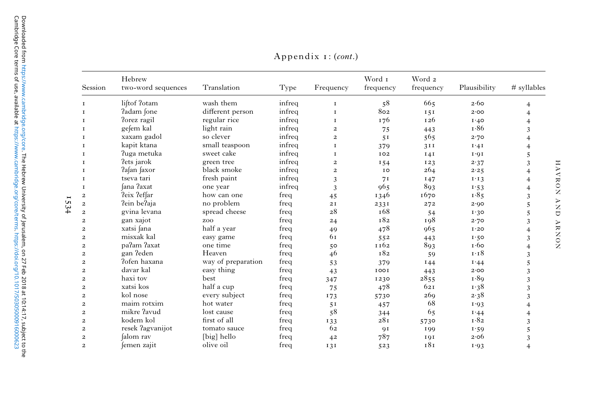| Session                 | Hebrew<br>two-word sequences | Translation        | Type   | Frequency               | Word 1<br>frequency | Word 2<br>frequency | Plausibility  | # syllables    |
|-------------------------|------------------------------|--------------------|--------|-------------------------|---------------------|---------------------|---------------|----------------|
| T                       | liftof ?otam                 | wash them          | infreq | $\mathbf{I}$            | 58                  | 665                 | 2.60          | 4              |
| 1                       | ?adam fone                   | different person   | infreq | $\mathbf I$             | 802                 | 151                 | 2.00          | $\overline{4}$ |
| 1                       | Porez ragil                  | regular rice       | infreq | $\mathbf I$             | 176                 | 126                 | I.40          | $\overline{4}$ |
| $\mathbf I$             | gefem kal                    | light rain         | infreq | $\overline{2}$          | 75                  | 443                 | 1.86          | 3              |
| <b>I</b>                | xaxam gadol                  | so clever          | infreq | $\overline{a}$          | 5 <sub>1</sub>      | 565                 | 2.70          | $\overline{4}$ |
| <b>I</b>                | kapit ktana                  | small teaspoon     | infreq | $\mathbf I$             | 379                 | 311                 | $I \cdot 4I$  | 4              |
| 1                       | ?uga metuka                  | sweet cake         | infreq | $\mathbf{I}$            | 102                 | I4I                 | $I \cdot Q I$ | 5              |
| $\mathbf I$             | Pets jarok                   | green tree         | infreq | $\overline{\mathbf{c}}$ | I 54                | 123                 | 2.37          | 3              |
| 1                       | ?afan faxor                  | black smoke        | infreq | $\overline{a}$          | IO                  | 264                 | 2.25          | $\overline{4}$ |
| 1                       | tseva tari                   | fresh paint        | infreq | 3                       | 71                  | 147                 | $I \cdot I$ 3 | $\overline{4}$ |
| 1                       | fana ?axat                   | one year           | infreq | 3                       | 965                 | 893                 | 1.53          | $\overline{4}$ |
| $\overline{\mathbf{c}}$ | ?eix ?effar                  | how can one        | freq   | 45                      | 1346                | 1670                | 1.85          | 3              |
| $\overline{a}$          | ?ein be?aja                  | no problem         | freq   | 2I                      | 2331                | 272                 | 2.00          | 5              |
| $\overline{2}$          | gvina levana                 | spread cheese      | freq   | 28                      | 168                 | 54                  | 1.30          | 5              |
| $\overline{2}$          | gan xajot                    | zoo                | freq   | 24                      | 182                 | 198                 | 2.70          | 3              |
| $\overline{c}$          | xatsi fana                   | half a year        | freq   | 49                      | 478                 | 965                 | I.20          | $\overline{4}$ |
| $\overline{\mathbf{c}}$ | misxak kal                   | easy game          | freq   | 61                      | 552                 | 443                 | 1.50          | 3              |
| $\overline{c}$          | pa?am ?axat                  | one time           | freq   | 50                      | 1162                | 893                 | 1.60          | $\overline{4}$ |
| $\overline{2}$          | gan ?eden                    | Heaven             | freq   | 46                      | 182                 | 59                  | 1.18          | 3              |
| $\overline{2}$          | ?ofen haxana                 | way of preparation | freq   | 53                      | 379                 | 144                 | I.44          | 5              |
| $\overline{\mathbf{c}}$ | davar kal                    | easy thing         | freq   | 43                      | 1001                | 443                 | 2.00          | 3              |
| $\overline{2}$          | haxi tov                     | best               | freq   | 347                     | 1230                | 2855                | 1.89          | 3              |
| $\overline{2}$          | xatsi kos                    | half a cup         | freq   | 75                      | 478                 | 621                 | 1.38          | 3              |
| $\overline{c}$          | kol nose                     | every subject      | freq   | 173                     | 5730                | 269                 | 2.38          | 3              |
| $\overline{c}$          | maim rotxim                  | hot water          | freq   | 5 <sub>1</sub>          | 457                 | 68                  | 1.93          | $\overline{4}$ |
| $\overline{c}$          | mikre ?avud                  | lost cause         | freq   | 58                      | 344                 | 65                  | I.44          | $\overline{4}$ |
| $\overline{c}$          | kodem kol                    | first of all       | freq   | 133                     | 28 <sub>I</sub>     | 5730                | 1.82          | 3              |
| $\overline{2}$          | resek ?agvanijot             | tomato sauce       | freq   | 62                      | 91                  | 199                 | 1.59          | 5              |
| $\overline{2}$          | falom rav                    | [big] hello        | freq   | 42                      | 787                 | 191                 | 2.06          | 3              |
| $\overline{2}$          | femen zajit                  | olive oil          | freq   | 131                     | 523                 | 181                 | 1.93          | $\overline{4}$ |

Appendix  $I: (cont.)$ 

1534

HAVRON ARD ARNON HAVRON AND ARNON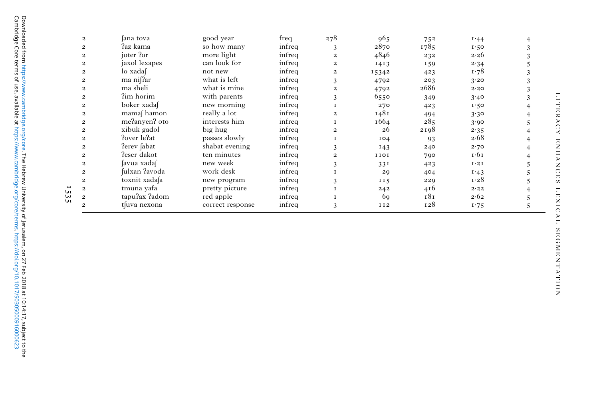|     | 2                           | ana tova      | good year        | freq   | 278            | 965             | 752  | 1.44         |  |
|-----|-----------------------------|---------------|------------------|--------|----------------|-----------------|------|--------------|--|
|     | $\overline{c}$              | ?az kama      | so how many      | infreq | 3              | 2870            | 1785 | 1.50         |  |
|     | $\overline{c}$              | joter ?or     | more light       | infreq | $\overline{a}$ | 4846            | 232  | 2.26         |  |
|     | $\overline{\mathbf{c}}$     | jaxol lexapes | can look for     | infreq | $\overline{a}$ | 1413            | 159  | 2.34         |  |
|     | $\overline{c}$              | lo xadaf      | not new          | infreq | 2              | 15342           | 423  | 1.78         |  |
|     | $\overline{c}$              | ma nif?ar     | what is left     | infreq | 3              | 4792            | 203  | 3.20         |  |
|     | $\overline{c}$              | ma sheli      | what is mine     | infreq | $\overline{c}$ | 4792            | 2686 | 2.20         |  |
|     | $\overline{c}$              | ?im horim     | with parents     | infreq |                | 6550            | 349  | 3.40         |  |
|     | $\overline{c}$              | boker xadaf   | new morning      | infreq |                | 270             | 423  | 1.50         |  |
|     | $\overline{c}$              | mamaf hamon   | really a lot     | infreq | $\mathbf{2}$   | 1481            | 494  | 3.30         |  |
|     | $\overline{c}$              | me?anyen? oto | interests him    | infreq |                | 1664            | 285  | 3.90         |  |
|     | $\overline{c}$              | xibuk gadol   | big hug          | infreq | $\overline{c}$ | 26              | 2198 | 2.35         |  |
|     | $\overline{c}$              | Pover le?at   | passes slowly    | infreq |                | 104             | 93   | 2.68         |  |
|     | $\overline{c}$              | Perev fabat   | shabat evening   | infreq |                | 143             | 240  | 2.70         |  |
|     | $\overline{c}$              | ?eser dakot   | ten minutes      | infreq | 2              | 1101            | 790  | 1.61         |  |
|     | $\overline{c}$              | favua xadaf   | new week         | infreq |                | 33I             | 423  | $I \cdot 2I$ |  |
|     | $\overline{c}$              | fulxan ?avoda | work desk        | infreq |                | 29              | 404  | 1.43         |  |
|     | $\overline{c}$              | toxnit xadafa | new program      | infreq |                | II <sub>5</sub> | 229  | 1.28         |  |
|     | $\overline{\mathbf{c}}$     | tmuna yafa    | pretty picture   | infreq |                | 242             | 416  | 2.22         |  |
| Uл. | $\overline{c}$              | tapu?ax ?adom | red apple        | infreq |                | 69              | 181  | 2.62         |  |
|     | $\mathcal{D}_{\mathcal{L}}$ | t uva nexona  | correct response | infreq | 3              | <b>II2</b>      | 128  | 1.75         |  |

LITERACY ENHANCES LEXICAL SEGMENTATION LITERACY ENHANCES LEXICAL SEGMENTATION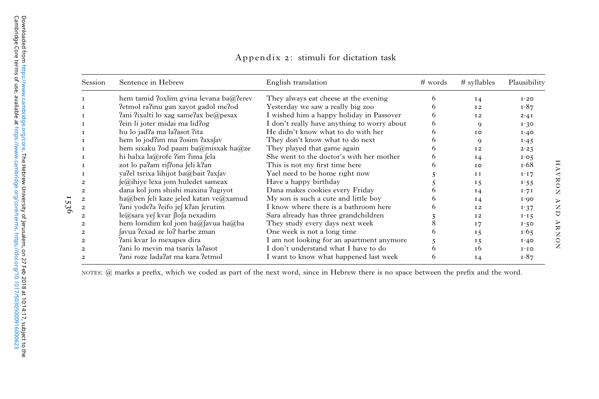| Session                 | Sentence in Hebrew<br>English translation |                                             | # words | # syllables    | Plausibility |
|-------------------------|-------------------------------------------|---------------------------------------------|---------|----------------|--------------|
|                         | hem tamid ?oxlim gvina levana ba@?erev    | They always eat cheese at the evening       |         | 14             | I.20         |
|                         | ?etmol ra?inu gan xayot gadol me?od       | Yesterday we saw a really big zoo           |         | 12             | 1.87         |
|                         | fani fixalti lo xag samefax be@pesax      | I wished him a happy holiday in Passover    |         | 12             | 2.41         |
|                         | ?ein li joter midai ma lid?og             | I don't really have anything to worry about | O.      | 9              | 1.30         |
|                         | hu lo jad?a ma la?asot ?ita               | He didn't know what to do with her          |         | IO             | 1.40         |
|                         | hem lo jod?im ma ?osim ?axsfav            | They don't know what to do next             |         | $\mathbf Q$    | 1.45         |
|                         | hem sixaku ?od paam ba@misxak ha@ze       | They played that game again                 |         | 12             | 2.23         |
|                         | hi halxa la@rofe ?im ?ima fela            | She went to the doctor's with her mother    |         | $I_4$          | I.05         |
|                         | zot lo pa?am rif?ona feli k?an            | This is not my first time here              |         | IO             | 1.68         |
|                         | ya'lel tsrixa lihijot ba@bait ?axfav      | Yael need to be home right now              |         | I <sub>I</sub> | I·I7         |
| 2                       | (e@ihiye lexa jom huledet sameax          | Have a happy birthday                       |         | 15             | 1.55         |
| $\mathbf{2}$            | dana kol jom shishi maxina ?ugiyot        | Dana makes cookies every Friday             |         | 14             | 1.71         |
| $\mathbf{2}$            | ha@ben feli kaze jeled katan ve@xamud     | My son is such a cute and little boy        |         | 14             | 1.00         |
| 2                       | ?ani yode?a ?eifo je∫ k?an ∫erutim        | I know where there is a bathroom here       |         | 12             | 1.37         |
| $\mathbf{2}$            | le@sara yef kvar flofa nexadim            | Sara already has three grandchildren        |         | 12             | 1.15         |
| $\overline{\mathbf{c}}$ | hem lomdim kol jom ba@favua ha@ba         | They study every days next week             |         | 17             | 1.50         |
| $\mathbf{2}$            | favua ?exad ze lo? harbe zman             | One week is not a long time                 |         | 15             | 1.65         |
| $\mathbf{2}$            | fani kvar lo mexapes dira                 | I am not looking for an apartment anymore   |         | 15             | 1.40         |
|                         | fani lo mevin ma tsarix lafasot           | I don't understand what I have to do        |         | T <sub>6</sub> | 1.10         |
|                         | fani roze ladafat ma kara fetmol          | I want to know what happened last week      |         | $I_4$          | 1.87         |

Appendix 2: stimuli for dictation task

NOTES: @ marks <sup>a</sup> prefix, which we coded as part of the next word, since in Hebrew there is no space between the prefi<sup>x</sup> and the word.

1536

HAVRON AND ARNON HAVRON AND ARNON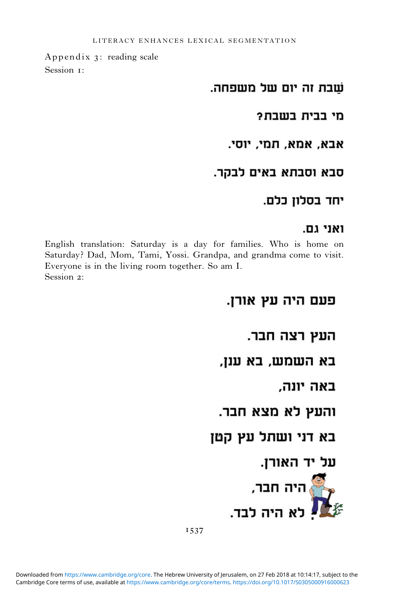Appendix 3: reading scale Session 1:

## שבת זה יום של משפחה.

מי בבית בשבת?

אבא, אמא, תמי, יוסי.

## סבא וסבתא באים לבקר.

# יחד בסלון כלם.

## ואני גם.

English translation: Saturday is a day for families. Who is home on Saturday? Dad, Mom, Tami, Yossi. Grandpa, and grandma come to visit. Everyone is in the living room together. So am I. Session 2:

# פעם היה עץ אורן.

העץ רצה חבר.

## בא השמש, בא ענן,

באה יונה.

# והעץ לא מצא חבר.

# בא דני ושתל עץ קטן

# על יד האורן.